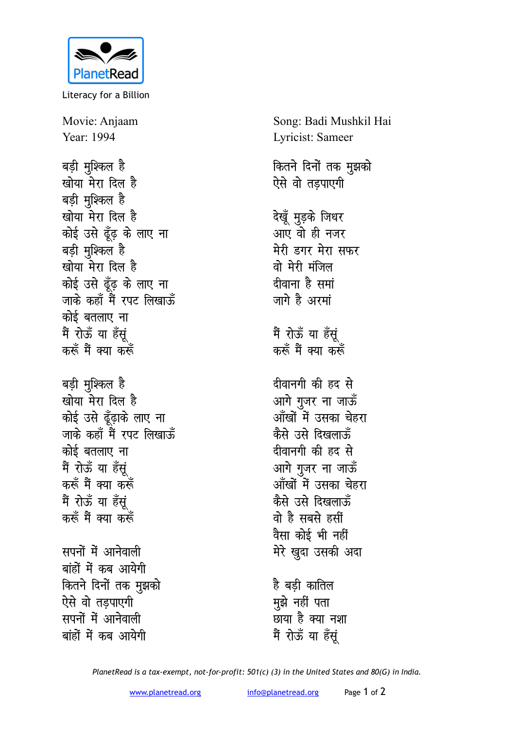

Literacy for a Billion

Movie: Anjaam Year: 1994

बड़ी मुश्किल है खोया मेरा दिल है बड़ी मुश्किल है खोया मेरा दिल है कोई उसे ढूँढ़ के लाए ना बड़ी मुश्किल है खोया मेरा दिल है कोई उसे ढूँढ़ के लाए ना जाके कहाँ मैं रपट लिखाऊँ कोई बतलाए ना मैं रोऊँ या हँसूं करूँ मैं क्या करूँ बड़ी मुश्किल है खोया मेरा दिल है कोई उसे ढूँढ़ाके लाए ना जाके कहाँ मैं रपट लिखाऊँ कोई बतलाए ना मैं रोऊँ या हँसूं करूँ मैं क्या करूँ मैं रोऊँ या हँसूं

सपनों में आनेवाली बांहों में कब आयेगी कितने दिनों तक मुझको ऐसे वो तडपाएगी सपनों में आनेवाली बांहों में कब आयेगी

करूँ मैं क्या करूँ

Song: Badi Mushkil Hai Lyricist: Sameer कितने दिनों तक मुझको ऐसे वो तडपाएगी देखूँ मुड़के जिधर आए वो ही नजर मेरी डगर मेरा सफर वो मेरी मंजिल दीवाना है समां जागे है अरमां मैं रोऊँ या हँसूं करूँ मैं क्या करूँ दीवानगी की हद से आगे गुजर ना जाऊँ आँखों में उसका चेहरा कैसे उसे दिखलाऊँ दीवानगी की हद से आगे गुजर ना जाऊँ आँखों में उसका चेहरा कैसे उसे दिखलाऊँ वो है सबसे हसीं वैसा कोई भी नहीं मेरे खुदा उसकी अदा है बडी कातिल मुझे नहीं पता

PlanetRead is a tax-exempt, not-for-profit: 501(c) (3) in the United States and 80(G) in India.

छाया है क्या नशा

मैं रोऊँ या हँसूं